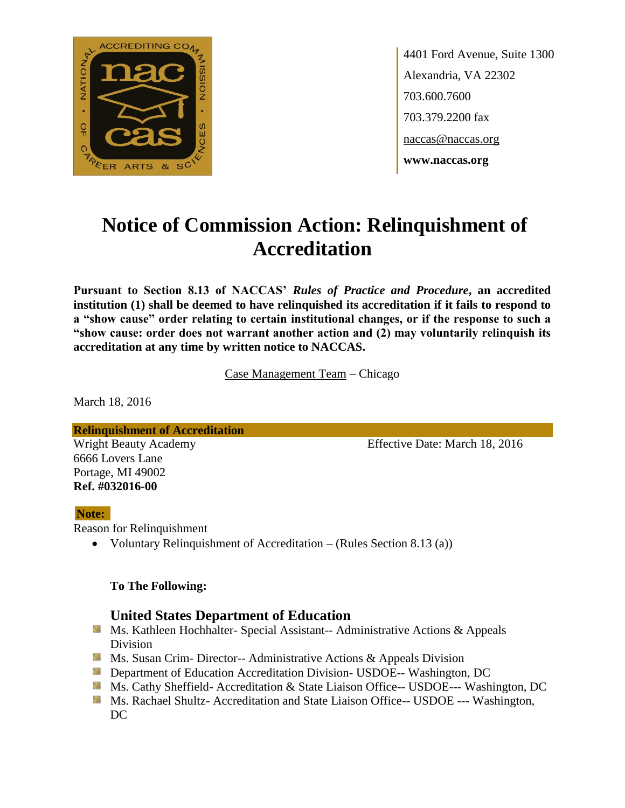

4401 Ford Avenue, Suite 1300 Alexandria, VA 22302 703.600.7600 703.379.2200 fax naccas@naccas.org **www.naccas.org**

# **Notice of Commission Action: Relinquishment of Accreditation**

**Pursuant to Section 8.13 of NACCAS'** *Rules of Practice and Procedure***, an accredited institution (1) shall be deemed to have relinquished its accreditation if it fails to respond to a "show cause" order relating to certain institutional changes, or if the response to such a "show cause: order does not warrant another action and (2) may voluntarily relinquish its accreditation at any time by written notice to NACCAS.**

Case Management Team – Chicago

March 18, 2016

**Ref. #032016-00**

**Relinquishment of Accreditation** Wright Beauty Academy **Effective Date: March 18, 2016** 6666 Lovers Lane Portage, MI 49002

#### **Note:**

Reason for Relinquishment

Voluntary Relinquishment of Accreditation – (Rules Section 8.13 (a))

#### **To The Following:**

# **United States Department of Education**

- **Ms. Kathleen Hochhalter- Special Assistant-- Administrative Actions & Appeals** Division
- **Ms. Susan Crim- Director-- Administrative Actions & Appeals Division**
- **Department of Education Accreditation Division- USDOE-- Washington, DC**
- Ms. Cathy Sheffield- Accreditation & State Liaison Office-- USDOE--- Washington, DC
- **MS. Rachael Shultz- Accreditation and State Liaison Office-- USDOE --- Washington,** DC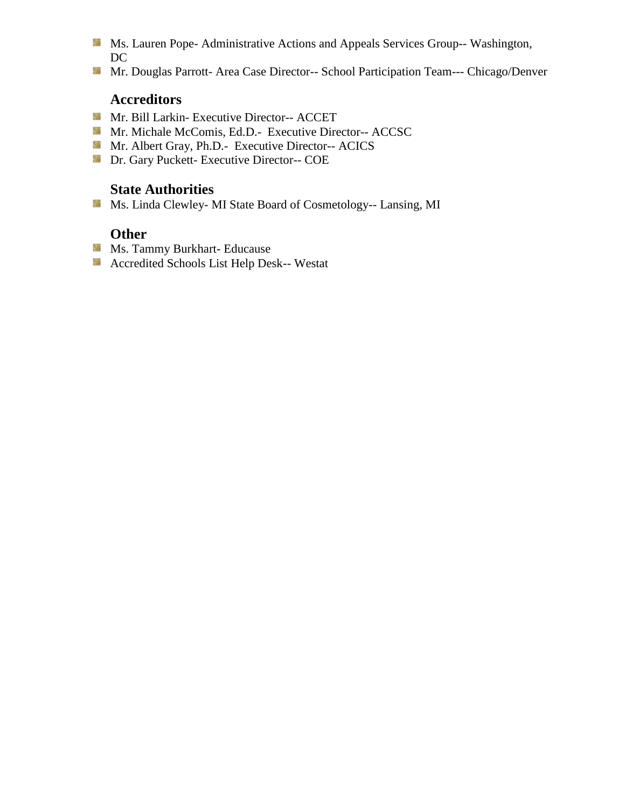- Ms. Lauren Pope- Administrative Actions and Appeals Services Group-- Washington, DC
- Mr. Douglas Parrott- Area Case Director-- School Participation Team--- Chicago/Denver

# **Accreditors**

- Mr. Bill Larkin- Executive Director-- ACCET
- Mr. Michale McComis, Ed.D.- Executive Director-- ACCSC
- Mr. Albert Gray, Ph.D.- Executive Director-- ACICS
- **Dr.** Gary Puckett- Executive Director-- COE

# **State Authorities**

Ms. Linda Clewley- MI State Board of Cosmetology-- Lansing, MI

# **Other**

- **Ms. Tammy Burkhart- Educause**
- Accredited Schools List Help Desk-- Westat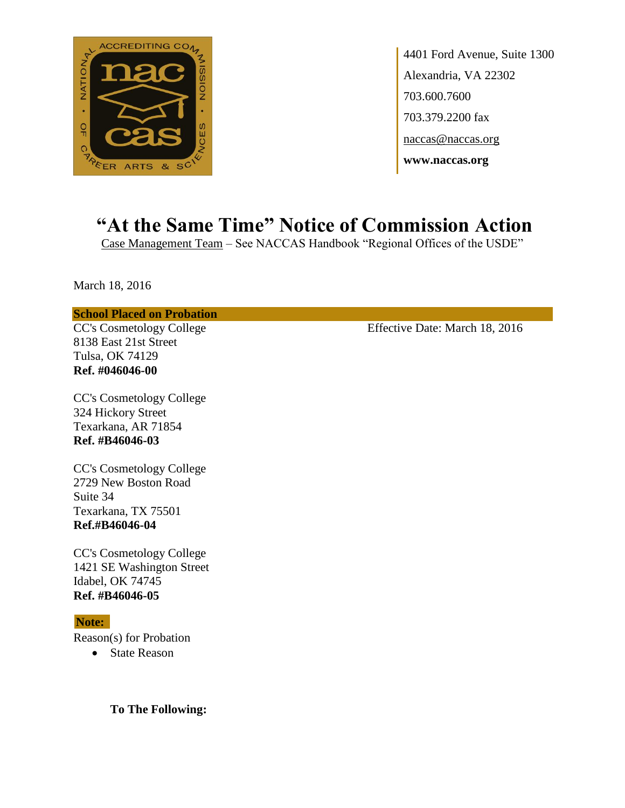

4401 Ford Avenue, Suite 1300 Alexandria, VA 22302 703.600.7600 703.379.2200 fax naccas@naccas.org **www.naccas.org**

# **"At the Same Time" Notice of Commission Action**

Case Management Team – See NACCAS Handbook "Regional Offices of the USDE"

March 18, 2016

#### **School Placed on Probation**

8138 East 21st Street Tulsa, OK 74129 **Ref. #046046-00**

CC's Cosmetology College 324 Hickory Street Texarkana, AR 71854 **Ref. #B46046-03**

CC's Cosmetology College 2729 New Boston Road Suite 34 Texarkana, TX 75501 **Ref.#B46046-04**

CC's Cosmetology College 1421 SE Washington Street Idabel, OK 74745 **Ref. #B46046-05**

#### **Note:**

Reason(s) for Probation

• State Reason

**To The Following:**

CC's Cosmetology College Effective Date: March 18, 2016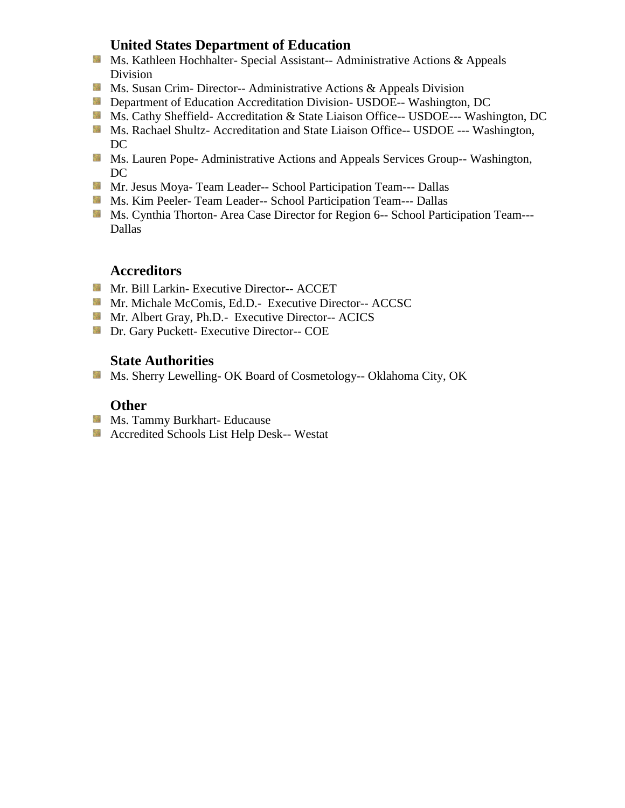# **United States Department of Education**

- **Ms. Kathleen Hochhalter- Special Assistant-- Administrative Actions & Appeals** Division
- **Ms. Susan Crim- Director-- Administrative Actions & Appeals Division**
- **Department of Education Accreditation Division- USDOE-- Washington, DC**
- Ms. Cathy Sheffield- Accreditation & State Liaison Office-- USDOE--- Washington, DC
- **Ms. Rachael Shultz- Accreditation and State Liaison Office-- USDOE --- Washington,** DC
- **Ms. Lauren Pope- Administrative Actions and Appeals Services Group-- Washington,** DC
- **Mr. Jesus Moya- Team Leader-- School Participation Team--- Dallas**
- **MS. Kim Peeler-Team Leader-- School Participation Team--- Dallas**
- **Ms. Cynthia Thorton- Area Case Director for Region 6-- School Participation Team---**Dallas

## **Accreditors**

- Mr. Bill Larkin- Executive Director-- ACCET
- Mr. Michale McComis, Ed.D.- Executive Director-- ACCSC
- Mr. Albert Gray, Ph.D.- Executive Director-- ACICS
- **Dr.** Gary Puckett- Executive Director-- COE

## **State Authorities**

Ms. Sherry Lewelling- OK Board of Cosmetology-- Oklahoma City, OK

## **Other**

- **Ms. Tammy Burkhart- Educause**
- **Accredited Schools List Help Desk-- Westat**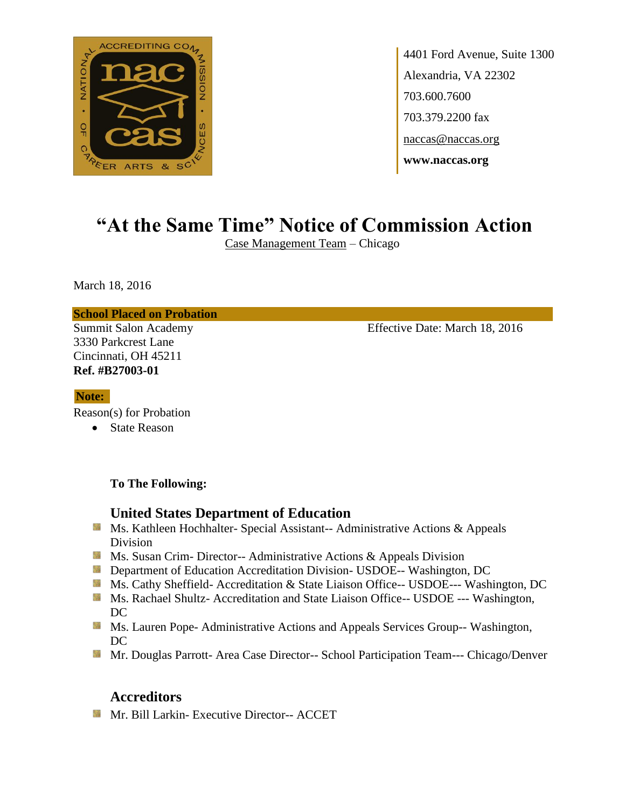

4401 Ford Avenue, Suite 1300 Alexandria, VA 22302 703.600.7600 703.379.2200 fax naccas@naccas.org **www.naccas.org**

# **"At the Same Time" Notice of Commission Action**

Case Management Team – Chicago

March 18, 2016

**School Placed on Probation**

3330 Parkcrest Lane Cincinnati, OH 45211 **Ref. #B27003-01**

Summit Salon Academy Effective Date: March 18, 2016

#### **Note:**

Reason(s) for Probation

• State Reason

**To The Following:**

## **United States Department of Education**

- Ms. Kathleen Hochhalter- Special Assistant-- Administrative Actions & Appeals Division
- **Ms. Susan Crim- Director-- Administrative Actions & Appeals Division**
- **Department of Education Accreditation Division- USDOE-- Washington, DC**
- Ms. Cathy Sheffield- Accreditation & State Liaison Office-- USDOE--- Washington, DC
- Ms. Rachael Shultz- Accreditation and State Liaison Office-- USDOE --- Washington, DC
- **MS. Lauren Pope- Administrative Actions and Appeals Services Group-- Washington,** DC
- Mr. Douglas Parrott- Area Case Director-- School Participation Team--- Chicago/Denver

## **Accreditors**

**Mr. Bill Larkin- Executive Director-- ACCET**